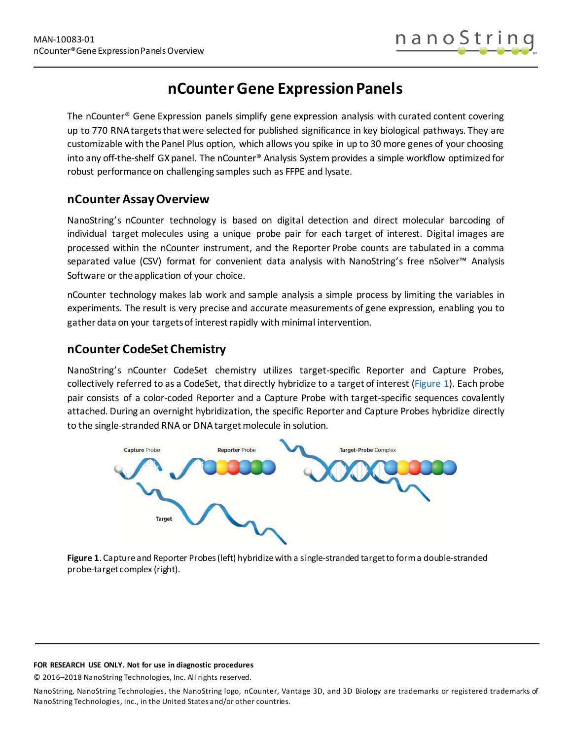# **nCounter Gene ExpressionPanels**

The nCounter® Gene Expression panels simplify gene expression analysis with curated content covering up to 770 RNAtargetsthat were selected for published significance in key biological pathways. They are customizable with the Panel Plus option, which allows you spike in up to 30 more genes of your choosing into any off-the-shelf GX panel. The nCounter® Analysis System provides a simple workflow optimized for robust performance on challenging samples such as FFPE and lysate.

# **nCounter Assay Overview**

NanoString's nCounter technology is based on digital detection and direct molecular barcoding of individual target molecules using a unique probe pair for each target of interest. Digital images are processed within the nCounter instrument, and the Reporter Probe counts are tabulated in a comma separated value (CSV) format for convenient data analysis with NanoString's free nSolver™ Analysis Software or the application of your choice.

nCounter technology makes lab work and sample analysis a simple process by limiting the variables in experiments. The result is very precise and accurate measurements of gene expression, enabling you to gather data on your targets of interest rapidly with minimal intervention.

# **nCounter CodeSet Chemistry**

NanoString's nCounter CodeSet chemistry utilizes target-specific Reporter and Capture Probes, collectively referred to as a CodeSet, that directly hybridize to a target of interest [\(Figure 1\)](#page-0-0). Each probe pair consists of a color-coded Reporter and a Capture Probe with target-specific sequences covalently attached. During an overnight hybridization, the specific Reporter and Capture Probes hybridize directly to the single-stranded RNA or DNA target molecule in solution.



<span id="page-0-0"></span>**Figure 1**. Capture and Reporter Probes (left) hybridize with a single-stranded target to form a double-stranded probe-target complex (right).

### **FOR RESEARCH USE ONLY. Not for use in diagnostic procedures**

© 2016–2018 NanoString Technologies, Inc. All rights reserved.

NanoString, NanoString Technologies, the NanoString logo, nCounter, Vantage 3D, and 3D Biology are trademarks or registered trademarks of NanoString Technologies, Inc., in the United States and/or other countries.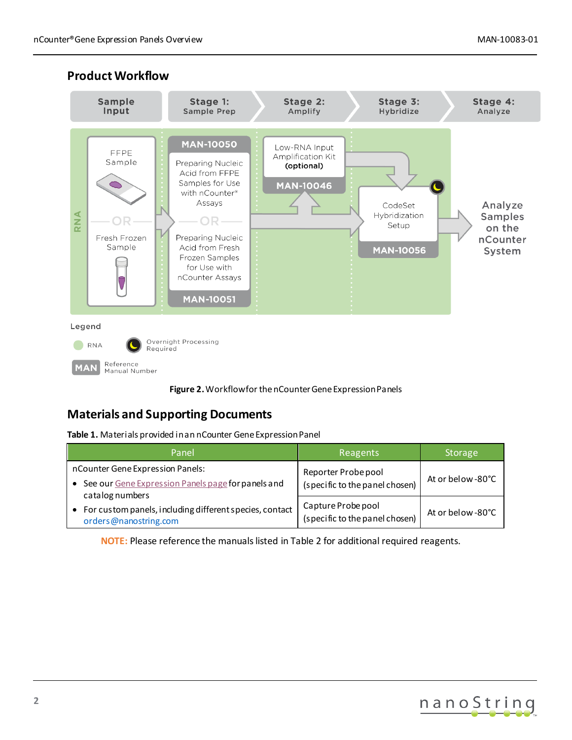

### **Product Workflow**



# **Materials and Supporting Documents**

**Table 1.** Materials provided in an nCounter Gene Expression Panel

| Panel                                                                              | Reagents                                             | <b>Storage</b>    |
|------------------------------------------------------------------------------------|------------------------------------------------------|-------------------|
| nCounter Gene Expression Panels:                                                   | Reporter Probe pool                                  |                   |
| See our Gene Expression Panels page for panels and                                 | (specific to the panel chosen)                       | At or below -80°C |
| catalog numbers                                                                    |                                                      |                   |
| • For custom panels, including different species, contact<br>orders@nanostring.com | Capture Probe pool<br>(specific to the panel chosen) | At or below -80°C |

**NOTE:** Please reference the manuals listed in Table 2 for additional required reagents.

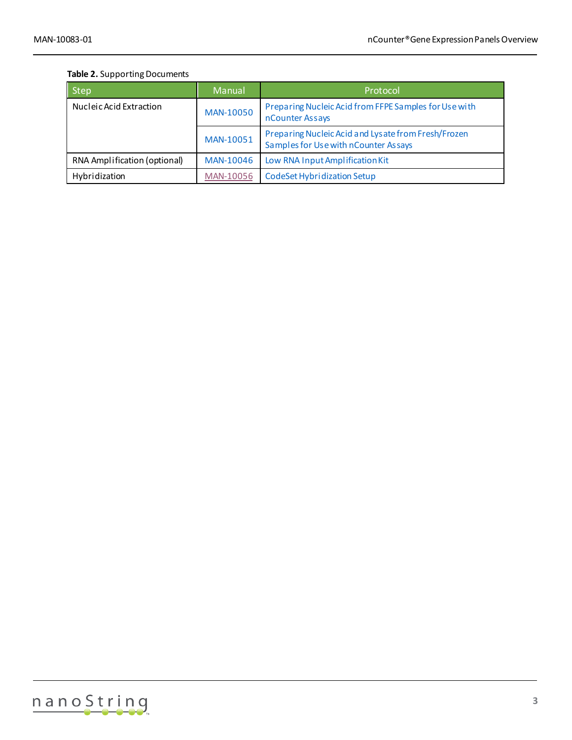### **Table 2.** Supporting Documents

| <b>Step</b>                  | Manual    | Protocol                                                                                    |
|------------------------------|-----------|---------------------------------------------------------------------------------------------|
| Nucleic Acid Extraction      | MAN-10050 | Preparing Nucleic Acid from FFPE Samples for Use with<br>nCounter Assays                    |
|                              | MAN-10051 | Preparing Nucleic Acid and Lysate from Fresh/Frozen<br>Samples for Use with nCounter Assays |
| RNA Amplification (optional) | MAN-10046 | Low RNA Input Amplification Kit                                                             |
| Hybridization                | MAN-10056 | CodeSet Hybridization Setup                                                                 |